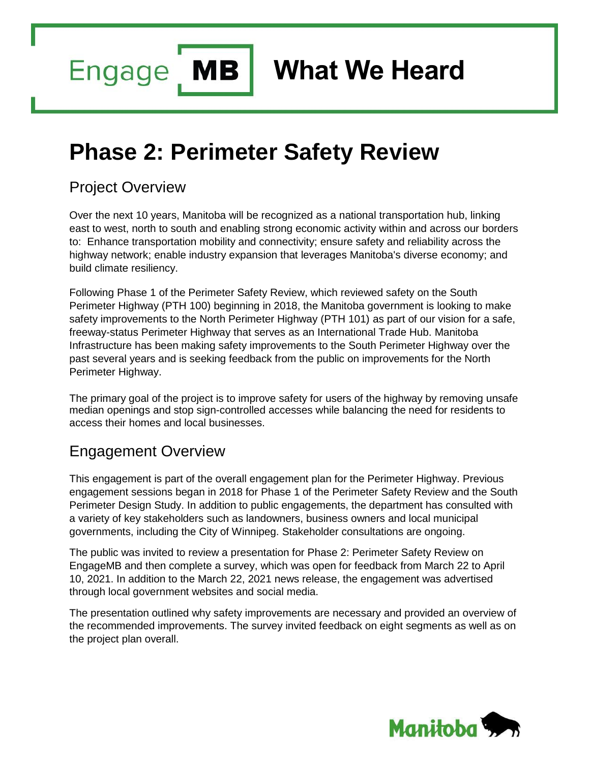**MB Engage** 

**What We Heard**

# **Phase 2: Perimeter Safety Review**

### Project Overview

Over the next 10 years, Manitoba will be recognized as a national transportation hub, linking east to west, north to south and enabling strong economic activity within and across our borders to: Enhance transportation mobility and connectivity; ensure safety and reliability across the highway network; enable industry expansion that leverages Manitoba's diverse economy; and build climate resiliency.

Following Phase 1 of the Perimeter Safety Review, which reviewed safety on the South Perimeter Highway (PTH 100) beginning in 2018, the Manitoba government is looking to make safety improvements to the North Perimeter Highway (PTH 101) as part of our vision for a safe, freeway-status Perimeter Highway that serves as an International Trade Hub. Manitoba Infrastructure has been making safety improvements to the South Perimeter Highway over the past several years and is seeking feedback from the public on improvements for the North Perimeter Highway.

The primary goal of the project is to improve safety for users of the highway by removing unsafe median openings and stop sign-controlled accesses while balancing the need for residents to access their homes and local businesses.

### Engagement Overview

This engagement is part of the overall engagement plan for the Perimeter Highway. Previous engagement sessions began in 2018 for Phase 1 of the Perimeter Safety Review and the South Perimeter Design Study. In addition to public engagements, the department has consulted with a variety of key stakeholders such as landowners, business owners and local municipal governments, including the City of Winnipeg. Stakeholder consultations are ongoing.

The public was invited to review a presentation for Phase 2: Perimeter Safety Review on EngageMB and then complete a survey, which was open for feedback from March 22 to April 10, 2021. In addition to the March 22, 2021 news release, the engagement was advertised through local government websites and social media.

The presentation outlined why safety improvements are necessary and provided an overview of the recommended improvements. The survey invited feedback on eight segments as well as on the project plan overall.

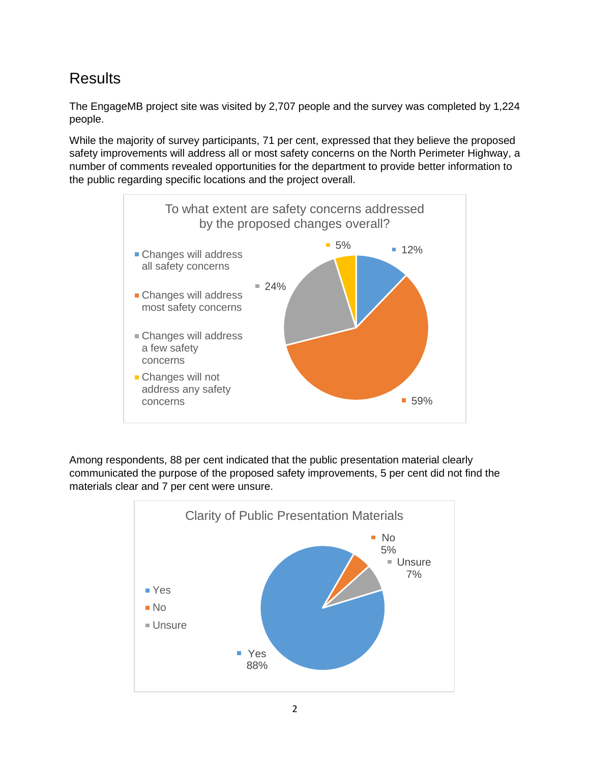## **Results**

The EngageMB project site was visited by 2,707 people and the survey was completed by 1,224 people.

While the majority of survey participants, 71 per cent, expressed that they believe the proposed safety improvements will address all or most safety concerns on the North Perimeter Highway, a number of comments revealed opportunities for the department to provide better information to the public regarding specific locations and the project overall.



Among respondents, 88 per cent indicated that the public presentation material clearly communicated the purpose of the proposed safety improvements, 5 per cent did not find the materials clear and 7 per cent were unsure.

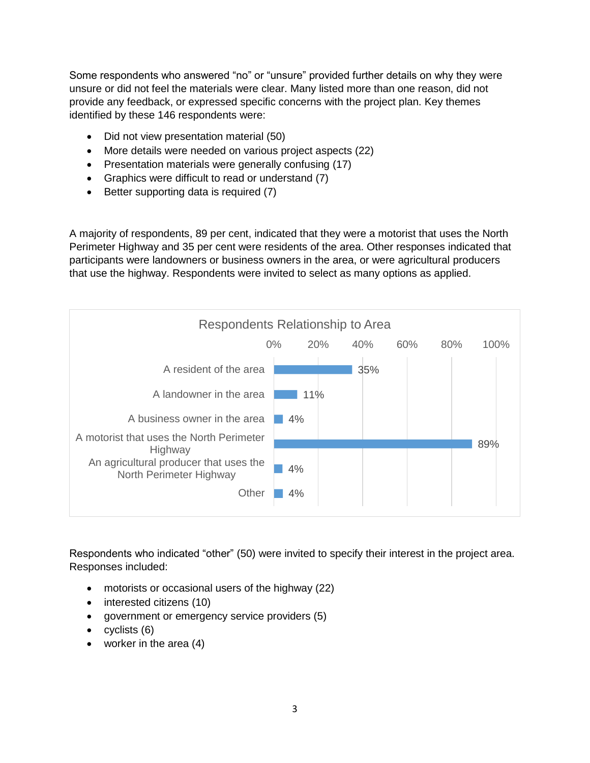Some respondents who answered "no" or "unsure" provided further details on why they were unsure or did not feel the materials were clear. Many listed more than one reason, did not provide any feedback, or expressed specific concerns with the project plan. Key themes identified by these 146 respondents were:

- Did not view presentation material (50)
- More details were needed on various project aspects (22)
- Presentation materials were generally confusing (17)
- Graphics were difficult to read or understand (7)
- Better supporting data is required (7)

A majority of respondents, 89 per cent, indicated that they were a motorist that uses the North Perimeter Highway and 35 per cent were residents of the area. Other responses indicated that participants were landowners or business owners in the area, or were agricultural producers that use the highway. Respondents were invited to select as many options as applied.



Respondents who indicated "other" (50) were invited to specify their interest in the project area. Responses included:

- motorists or occasional users of the highway (22)
- interested citizens (10)
- government or emergency service providers (5)
- $\bullet$  cyclists  $(6)$
- worker in the area (4)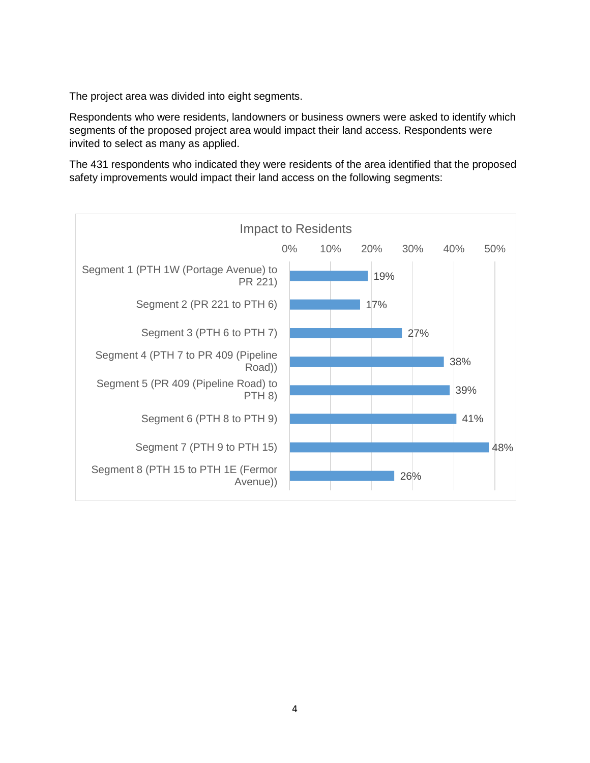The project area was divided into eight segments.

Respondents who were residents, landowners or business owners were asked to identify which segments of the proposed project area would impact their land access. Respondents were invited to select as many as applied.

The 431 respondents who indicated they were residents of the area identified that the proposed safety improvements would impact their land access on the following segments:

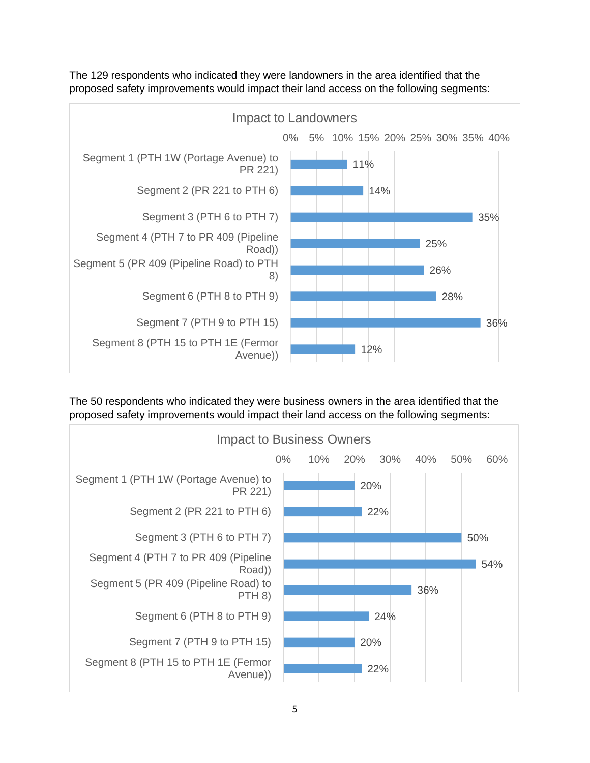

The 129 respondents who indicated they were landowners in the area identified that the proposed safety improvements would impact their land access on the following segments:

The 50 respondents who indicated they were business owners in the area identified that the proposed safety improvements would impact their land access on the following segments:

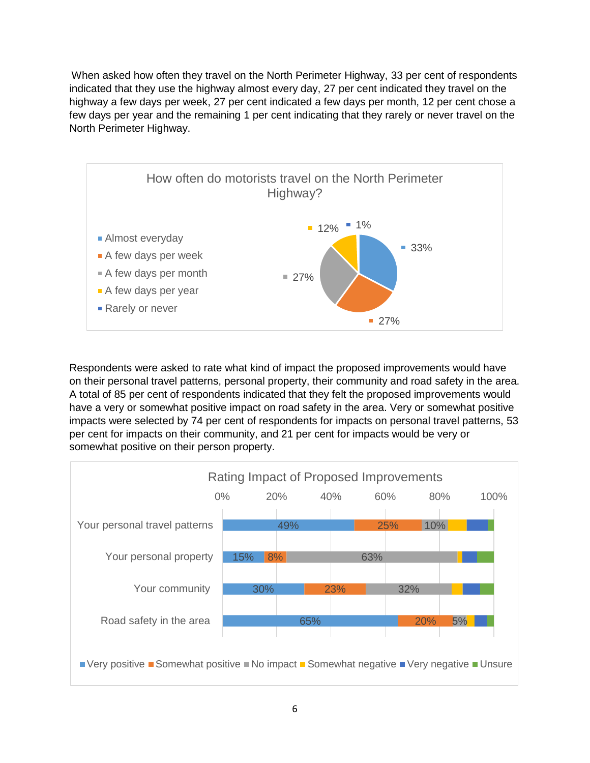When asked how often they travel on the North Perimeter Highway, 33 per cent of respondents indicated that they use the highway almost every day, 27 per cent indicated they travel on the highway a few days per week, 27 per cent indicated a few days per month, 12 per cent chose a few days per year and the remaining 1 per cent indicating that they rarely or never travel on the North Perimeter Highway.



Respondents were asked to rate what kind of impact the proposed improvements would have on their personal travel patterns, personal property, their community and road safety in the area. A total of 85 per cent of respondents indicated that they felt the proposed improvements would have a very or somewhat positive impact on road safety in the area. Very or somewhat positive impacts were selected by 74 per cent of respondents for impacts on personal travel patterns, 53 per cent for impacts on their community, and 21 per cent for impacts would be very or somewhat positive on their person property.

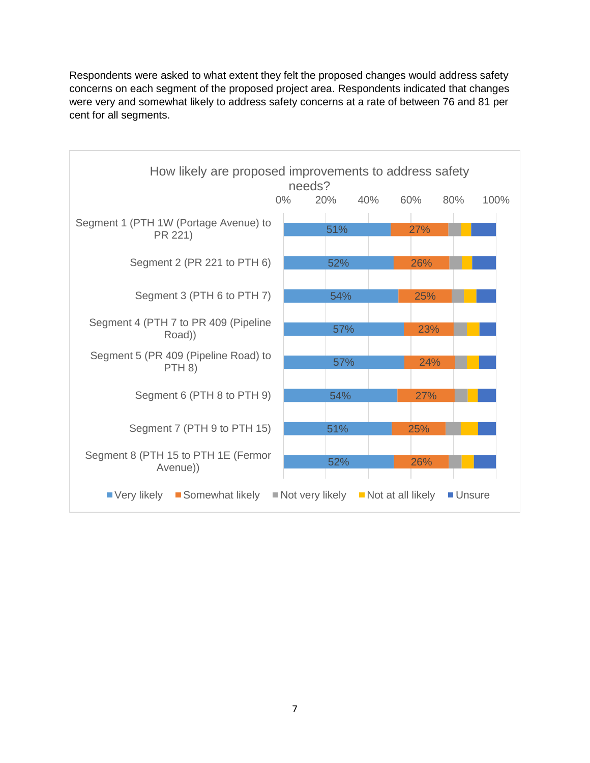Respondents were asked to what extent they felt the proposed changes would address safety concerns on each segment of the proposed project area. Respondents indicated that changes were very and somewhat likely to address safety concerns at a rate of between 76 and 81 per cent for all segments.

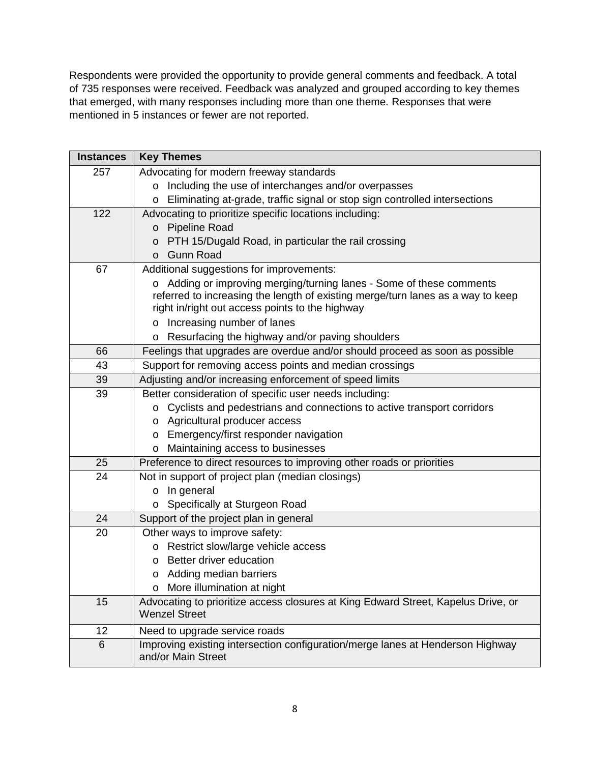Respondents were provided the opportunity to provide general comments and feedback. A total of 735 responses were received. Feedback was analyzed and grouped according to key themes that emerged, with many responses including more than one theme. Responses that were mentioned in 5 instances or fewer are not reported.

| <b>Instances</b> | <b>Key Themes</b>                                                                 |
|------------------|-----------------------------------------------------------------------------------|
| 257              | Advocating for modern freeway standards                                           |
|                  | Including the use of interchanges and/or overpasses<br>O                          |
|                  | Eliminating at-grade, traffic signal or stop sign controlled intersections<br>O   |
| 122              | Advocating to prioritize specific locations including:                            |
|                  | <b>Pipeline Road</b><br>$\mathsf{o}$                                              |
|                  | PTH 15/Dugald Road, in particular the rail crossing<br>o                          |
|                  | <b>Gunn Road</b><br>$\Omega$                                                      |
| 67               | Additional suggestions for improvements:                                          |
|                  | o Adding or improving merging/turning lanes - Some of these comments              |
|                  | referred to increasing the length of existing merge/turn lanes as a way to keep   |
|                  | right in/right out access points to the highway                                   |
|                  | Increasing number of lanes<br>O                                                   |
|                  | Resurfacing the highway and/or paving shoulders<br>o                              |
| 66               | Feelings that upgrades are overdue and/or should proceed as soon as possible      |
| 43               | Support for removing access points and median crossings                           |
| 39               | Adjusting and/or increasing enforcement of speed limits                           |
| 39               | Better consideration of specific user needs including:                            |
|                  | Cyclists and pedestrians and connections to active transport corridors<br>0       |
|                  | o Agricultural producer access                                                    |
|                  | Emergency/first responder navigation<br>0                                         |
|                  | Maintaining access to businesses<br>O                                             |
| 25               | Preference to direct resources to improving other roads or priorities             |
| 24               | Not in support of project plan (median closings)                                  |
|                  | In general<br>o                                                                   |
| 24               | Specifically at Sturgeon Road<br>O                                                |
| 20               | Support of the project plan in general<br>Other ways to improve safety:           |
|                  | Restrict slow/large vehicle access<br>0                                           |
|                  | Better driver education<br>O                                                      |
|                  | o Adding median barriers                                                          |
|                  | More illumination at night<br>0                                                   |
| 15               | Advocating to prioritize access closures at King Edward Street, Kapelus Drive, or |
|                  | <b>Wenzel Street</b>                                                              |
| 12               | Need to upgrade service roads                                                     |
| 6                | Improving existing intersection configuration/merge lanes at Henderson Highway    |
|                  | and/or Main Street                                                                |
|                  |                                                                                   |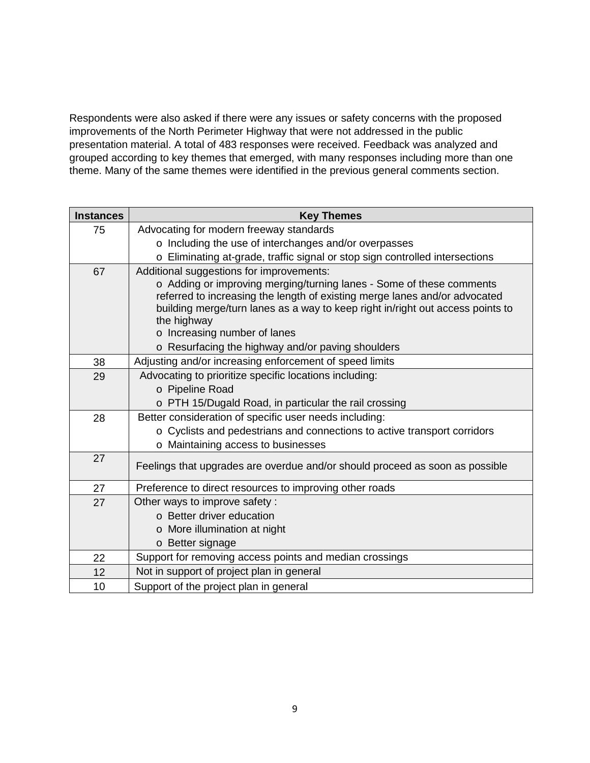Respondents were also asked if there were any issues or safety concerns with the proposed improvements of the North Perimeter Highway that were not addressed in the public presentation material. A total of 483 responses were received. Feedback was analyzed and grouped according to key themes that emerged, with many responses including more than one theme. Many of the same themes were identified in the previous general comments section.

| <b>Instances</b> | <b>Key Themes</b>                                                                                                                                                                                                                                                                                                               |
|------------------|---------------------------------------------------------------------------------------------------------------------------------------------------------------------------------------------------------------------------------------------------------------------------------------------------------------------------------|
| 75               | Advocating for modern freeway standards                                                                                                                                                                                                                                                                                         |
|                  | o Including the use of interchanges and/or overpasses                                                                                                                                                                                                                                                                           |
|                  | o Eliminating at-grade, traffic signal or stop sign controlled intersections                                                                                                                                                                                                                                                    |
| 67               | Additional suggestions for improvements:<br>o Adding or improving merging/turning lanes - Some of these comments<br>referred to increasing the length of existing merge lanes and/or advocated<br>building merge/turn lanes as a way to keep right in/right out access points to<br>the highway<br>o Increasing number of lanes |
|                  | o Resurfacing the highway and/or paving shoulders                                                                                                                                                                                                                                                                               |
| 38               | Adjusting and/or increasing enforcement of speed limits                                                                                                                                                                                                                                                                         |
| 29               | Advocating to prioritize specific locations including:<br>o Pipeline Road<br>o PTH 15/Dugald Road, in particular the rail crossing                                                                                                                                                                                              |
| 28               | Better consideration of specific user needs including:<br>o Cyclists and pedestrians and connections to active transport corridors<br>o Maintaining access to businesses                                                                                                                                                        |
| 27               | Feelings that upgrades are overdue and/or should proceed as soon as possible                                                                                                                                                                                                                                                    |
| 27               | Preference to direct resources to improving other roads                                                                                                                                                                                                                                                                         |
| 27               | Other ways to improve safety:<br>o Better driver education<br>o More illumination at night<br>o Better signage                                                                                                                                                                                                                  |
| 22               | Support for removing access points and median crossings                                                                                                                                                                                                                                                                         |
| 12               | Not in support of project plan in general                                                                                                                                                                                                                                                                                       |
| 10               | Support of the project plan in general                                                                                                                                                                                                                                                                                          |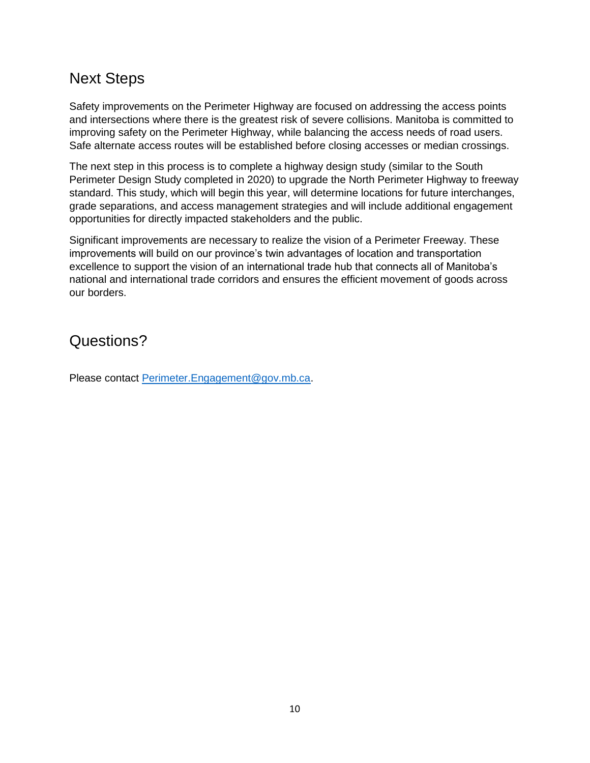### Next Steps

Safety improvements on the Perimeter Highway are focused on addressing the access points and intersections where there is the greatest risk of severe collisions. Manitoba is committed to improving safety on the Perimeter Highway, while balancing the access needs of road users. Safe alternate access routes will be established before closing accesses or median crossings.

The next step in this process is to complete a highway design study (similar to the South Perimeter Design Study completed in 2020) to upgrade the North Perimeter Highway to freeway standard. This study, which will begin this year, will determine locations for future interchanges, grade separations, and access management strategies and will include additional engagement opportunities for directly impacted stakeholders and the public.

Significant improvements are necessary to realize the vision of a Perimeter Freeway. These improvements will build on our province's twin advantages of location and transportation excellence to support the vision of an international trade hub that connects all of Manitoba's national and international trade corridors and ensures the efficient movement of goods across our borders.

Questions?

Please contact [Perimeter.Engagement@gov.mb.ca.](mailto:Perimeter.Engagement@gov.mb.ca)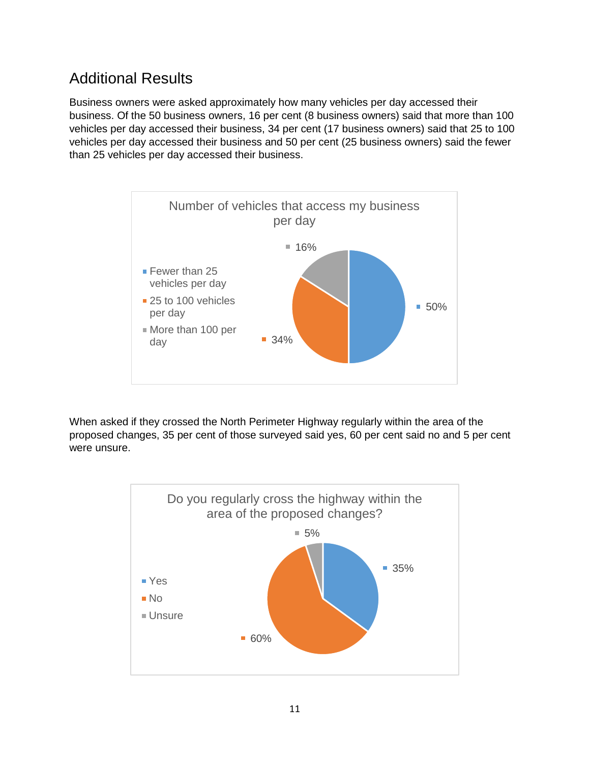## Additional Results

Business owners were asked approximately how many vehicles per day accessed their business. Of the 50 business owners, 16 per cent (8 business owners) said that more than 100 vehicles per day accessed their business, 34 per cent (17 business owners) said that 25 to 100 vehicles per day accessed their business and 50 per cent (25 business owners) said the fewer than 25 vehicles per day accessed their business.



When asked if they crossed the North Perimeter Highway regularly within the area of the proposed changes, 35 per cent of those surveyed said yes, 60 per cent said no and 5 per cent were unsure.